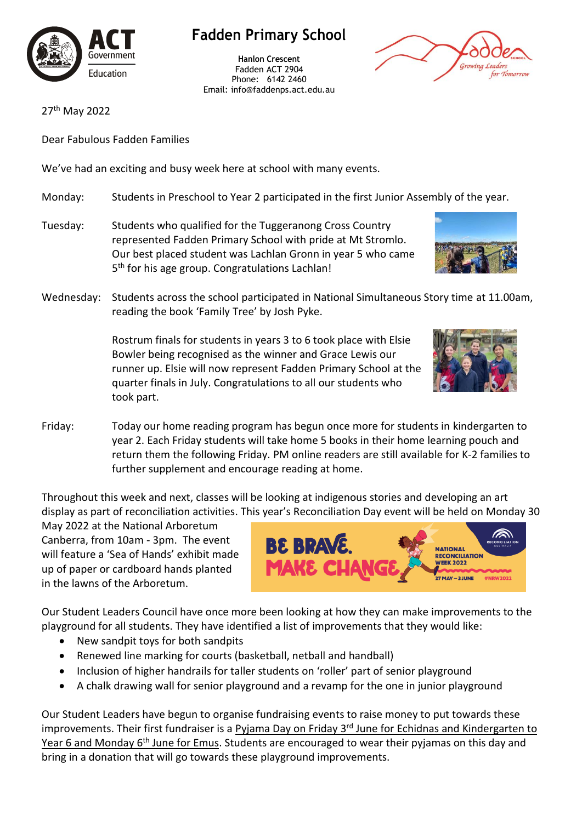

## **Fadden Primary School**

**Hanlon Crescent** Fadden ACT 2904 Phone: 6142 2460 Email: info@faddenps.act.edu.au



27<sup>th</sup> May 2022

Dear Fabulous Fadden Families

We've had an exciting and busy week here at school with many events.

- Monday: Students in Preschool to Year 2 participated in the first Junior Assembly of the year.
- Tuesday: Students who qualified for the Tuggeranong Cross Country represented Fadden Primary School with pride at Mt Stromlo. Our best placed student was Lachlan Gronn in year 5 who came 5<sup>th</sup> for his age group. Congratulations Lachlan!



Wednesday: Students across the school participated in National Simultaneous Story time at 11.00am, reading the book 'Family Tree' by Josh Pyke.

> Rostrum finals for students in years 3 to 6 took place with Elsie Bowler being recognised as the winner and Grace Lewis our runner up. Elsie will now represent Fadden Primary School at the quarter finals in July. Congratulations to all our students who took part.



Friday: Today our home reading program has begun once more for students in kindergarten to year 2. Each Friday students will take home 5 books in their home learning pouch and return them the following Friday. PM online readers are still available for K-2 families to further supplement and encourage reading at home.

Throughout this week and next, classes will be looking at indigenous stories and developing an art display as part of reconciliation activities. This year's Reconciliation Day event will be held on Monday 30

May 2022 at the National Arboretum Canberra, from 10am - 3pm. The event will feature a 'Sea of Hands' exhibit made up of paper or cardboard hands planted in the lawns of the Arboretum.



Our Student Leaders Council have once more been looking at how they can make improvements to the playground for all students. They have identified a list of improvements that they would like:

- New sandpit toys for both sandpits
- Renewed line marking for courts (basketball, netball and handball)
- Inclusion of higher handrails for taller students on 'roller' part of senior playground
- A chalk drawing wall for senior playground and a revamp for the one in junior playground

Our Student Leaders have begun to organise fundraising events to raise money to put towards these improvements. Their first fundraiser is a Pyjama Day on Friday 3<sup>rd</sup> June for Echidnas and Kindergarten to Year 6 and Monday 6<sup>th</sup> June for Emus. Students are encouraged to wear their pyjamas on this day and bring in a donation that will go towards these playground improvements.